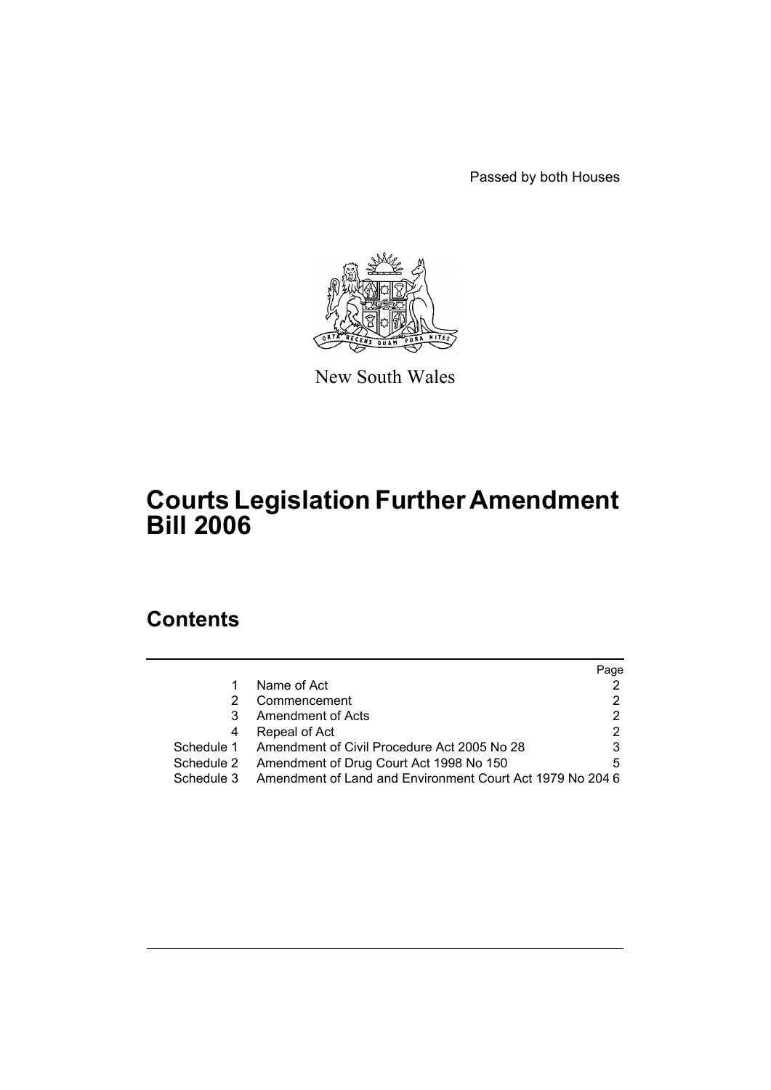Passed by both Houses



New South Wales

# **Courts Legislation Further Amendment Bill 2006**

# **Contents**

|            |                                                           | Page |
|------------|-----------------------------------------------------------|------|
|            | Name of Act                                               |      |
|            | Commencement                                              |      |
| 3          | Amendment of Acts                                         | 2    |
| 4          | Repeal of Act                                             |      |
|            | Schedule 1 Amendment of Civil Procedure Act 2005 No 28    |      |
|            | Schedule 2 Amendment of Drug Court Act 1998 No 150        | 5    |
| Schedule 3 | Amendment of Land and Environment Court Act 1979 No 204 6 |      |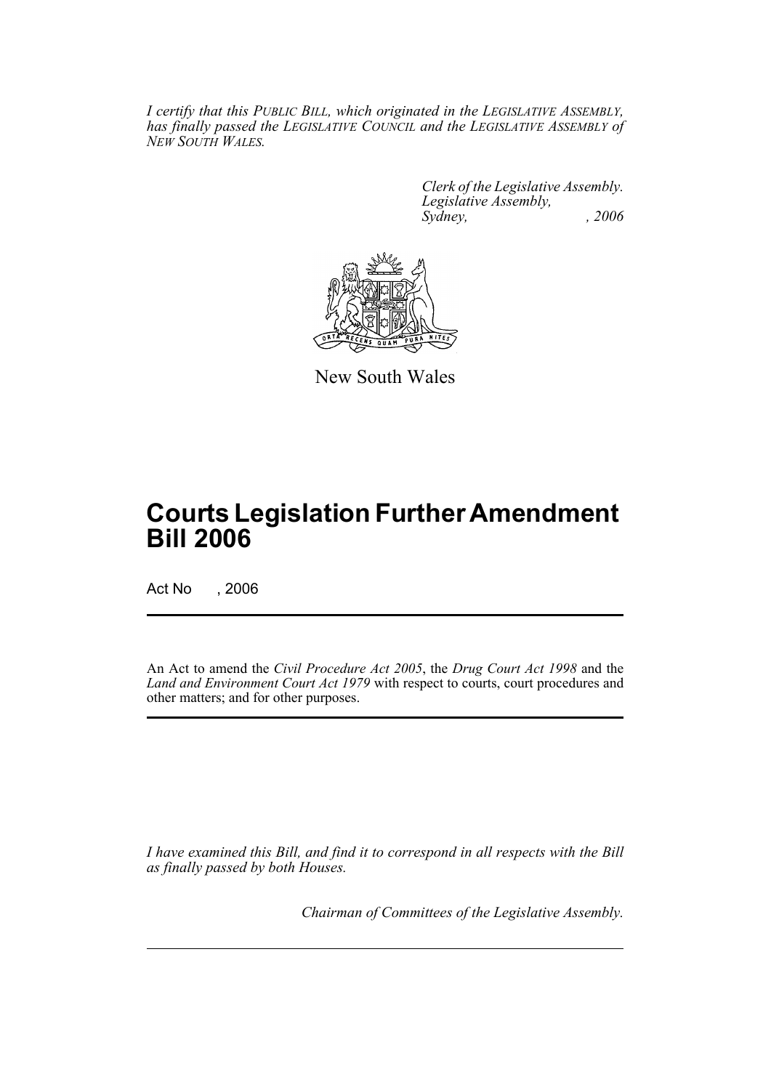*I certify that this PUBLIC BILL, which originated in the LEGISLATIVE ASSEMBLY, has finally passed the LEGISLATIVE COUNCIL and the LEGISLATIVE ASSEMBLY of NEW SOUTH WALES.*

> *Clerk of the Legislative Assembly. Legislative Assembly, Sydney, , 2006*



New South Wales

# **Courts Legislation Further Amendment Bill 2006**

Act No , 2006

An Act to amend the *Civil Procedure Act 2005*, the *Drug Court Act 1998* and the *Land and Environment Court Act 1979* with respect to courts, court procedures and other matters; and for other purposes.

*I have examined this Bill, and find it to correspond in all respects with the Bill as finally passed by both Houses.*

*Chairman of Committees of the Legislative Assembly.*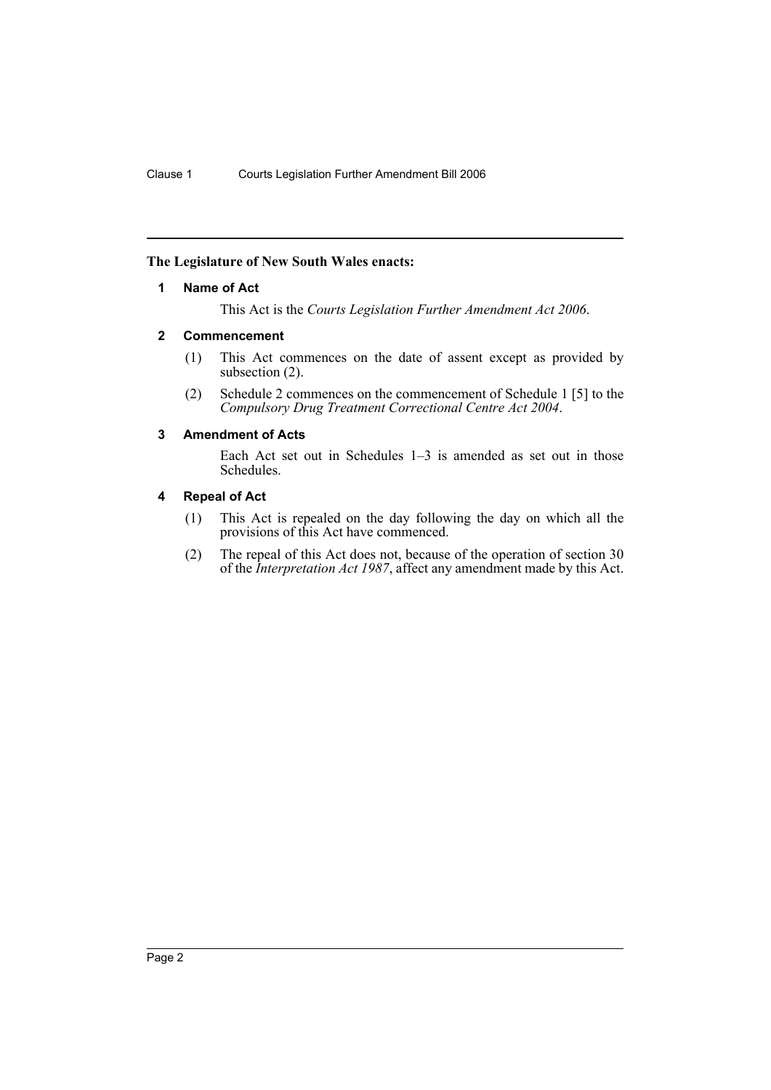### **The Legislature of New South Wales enacts:**

#### **1 Name of Act**

This Act is the *Courts Legislation Further Amendment Act 2006*.

#### **2 Commencement**

- (1) This Act commences on the date of assent except as provided by subsection  $(2)$ .
- (2) Schedule 2 commences on the commencement of Schedule 1 [5] to the *Compulsory Drug Treatment Correctional Centre Act 2004*.

### **3 Amendment of Acts**

Each Act set out in Schedules 1–3 is amended as set out in those Schedules.

#### **4 Repeal of Act**

- (1) This Act is repealed on the day following the day on which all the provisions of this Act have commenced.
- (2) The repeal of this Act does not, because of the operation of section 30 of the *Interpretation Act 1987*, affect any amendment made by this Act.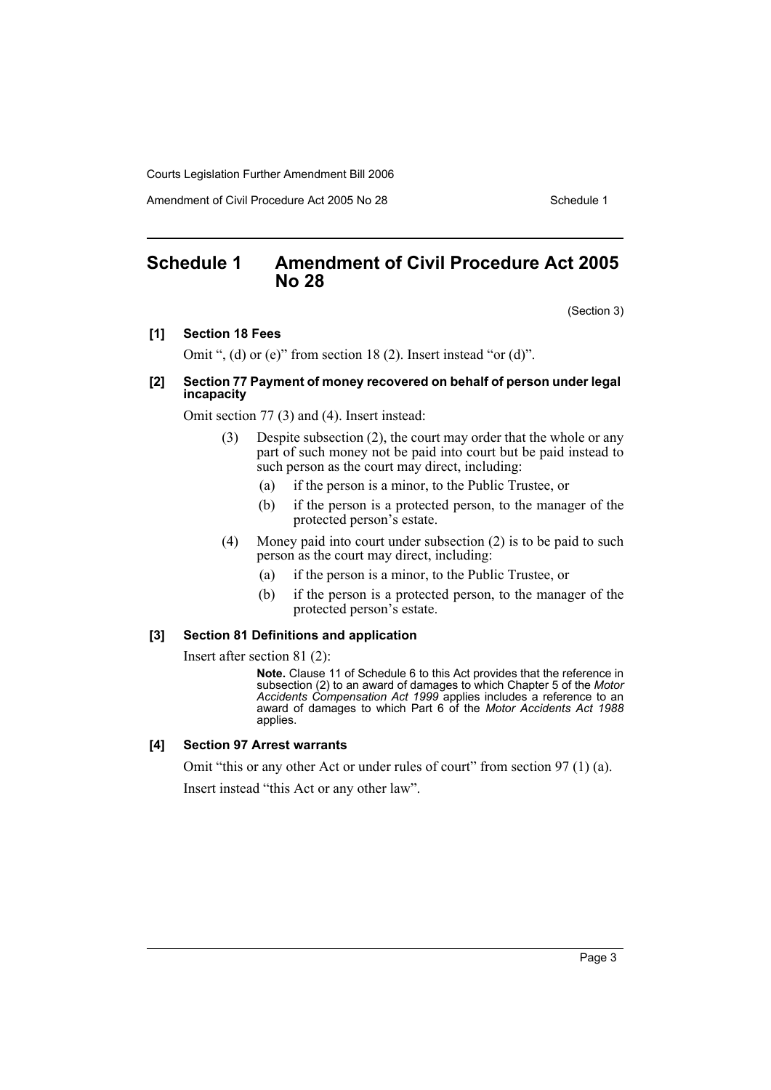Amendment of Civil Procedure Act 2005 No 28 Schedule 1

# **Schedule 1 Amendment of Civil Procedure Act 2005 No 28**

(Section 3)

#### **[1] Section 18 Fees**

Omit ", (d) or (e)" from section 18 (2). Insert instead "or (d)".

#### **[2] Section 77 Payment of money recovered on behalf of person under legal incapacity**

Omit section 77 (3) and (4). Insert instead:

- (3) Despite subsection (2), the court may order that the whole or any part of such money not be paid into court but be paid instead to such person as the court may direct, including:
	- (a) if the person is a minor, to the Public Trustee, or
	- (b) if the person is a protected person, to the manager of the protected person's estate.
- (4) Money paid into court under subsection (2) is to be paid to such person as the court may direct, including:
	- (a) if the person is a minor, to the Public Trustee, or
	- (b) if the person is a protected person, to the manager of the protected person's estate.

#### **[3] Section 81 Definitions and application**

Insert after section 81 (2):

**Note.** Clause 11 of Schedule 6 to this Act provides that the reference in subsection (2) to an award of damages to which Chapter 5 of the *Motor Accidents Compensation Act 1999* applies includes a reference to an award of damages to which Part 6 of the *Motor Accidents Act 1988* applies.

#### **[4] Section 97 Arrest warrants**

Omit "this or any other Act or under rules of court" from section 97 (1) (a). Insert instead "this Act or any other law".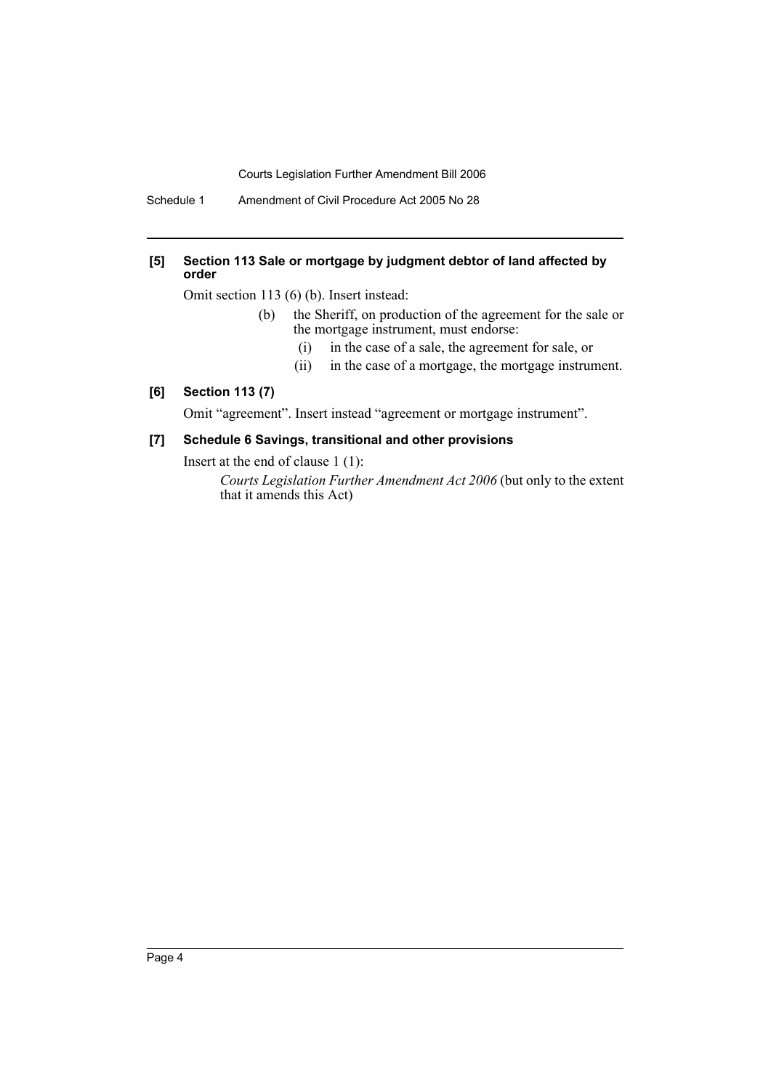Schedule 1 Amendment of Civil Procedure Act 2005 No 28

#### **[5] Section 113 Sale or mortgage by judgment debtor of land affected by order**

Omit section 113 (6) (b). Insert instead:

- (b) the Sheriff, on production of the agreement for the sale or the mortgage instrument, must endorse:
	- (i) in the case of a sale, the agreement for sale, or
	- (ii) in the case of a mortgage, the mortgage instrument.

## **[6] Section 113 (7)**

Omit "agreement". Insert instead "agreement or mortgage instrument".

## **[7] Schedule 6 Savings, transitional and other provisions**

Insert at the end of clause 1 (1):

*Courts Legislation Further Amendment Act 2006* (but only to the extent that it amends this Act)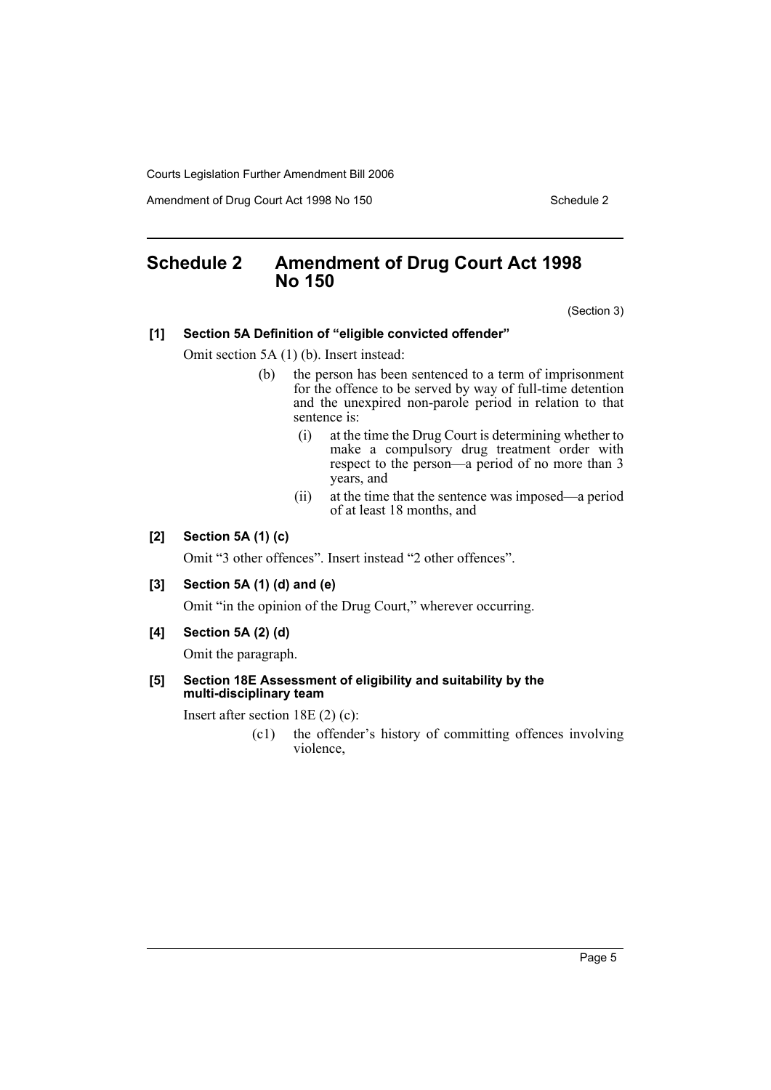Amendment of Drug Court Act 1998 No 150 Schedule 2

# **Schedule 2 Amendment of Drug Court Act 1998 No 150**

(Section 3)

#### **[1] Section 5A Definition of "eligible convicted offender"**

Omit section 5A (1) (b). Insert instead:

- (b) the person has been sentenced to a term of imprisonment for the offence to be served by way of full-time detention and the unexpired non-parole period in relation to that sentence is:
	- (i) at the time the Drug Court is determining whether to make a compulsory drug treatment order with respect to the person—a period of no more than 3 years, and
	- (ii) at the time that the sentence was imposed—a period of at least 18 months, and

### **[2] Section 5A (1) (c)**

Omit "3 other offences". Insert instead "2 other offences".

#### **[3] Section 5A (1) (d) and (e)**

Omit "in the opinion of the Drug Court," wherever occurring.

**[4] Section 5A (2) (d)**

Omit the paragraph.

#### **[5] Section 18E Assessment of eligibility and suitability by the multi-disciplinary team**

Insert after section 18E (2) (c):

(c1) the offender's history of committing offences involving violence,